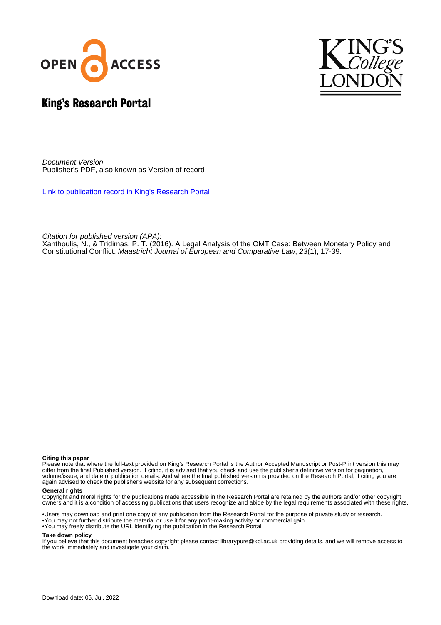



# King's Research Portal

Document Version Publisher's PDF, also known as Version of record

[Link to publication record in King's Research Portal](https://kclpure.kcl.ac.uk/portal/en/publications/a-legal-analysis-of-the-omt-case-between-monetary-policy-and-constitutional-conflict(762a07dc-c925-4817-a0b2-f585cb044d7c).html)

Citation for published version (APA):

[Xanthoulis, N.](https://kclpure.kcl.ac.uk/portal/en/persons/napoleon-xanthoulis(7bc00ae2-1c93-4e7e-a380-0627047d5ecd).html)[, & Tridimas, P. T.](/portal/takis.tridimas.html) (2016). [A Legal Analysis of the OMT Case: Between Monetary Policy and](https://kclpure.kcl.ac.uk/portal/en/publications/a-legal-analysis-of-the-omt-case-between-monetary-policy-and-constitutional-conflict(762a07dc-c925-4817-a0b2-f585cb044d7c).html) [Constitutional Conflict.](https://kclpure.kcl.ac.uk/portal/en/publications/a-legal-analysis-of-the-omt-case-between-monetary-policy-and-constitutional-conflict(762a07dc-c925-4817-a0b2-f585cb044d7c).html) [Maastricht Journal of European and Comparative Law](https://kclpure.kcl.ac.uk/portal/en/journals/maastricht-journal-of-european-and-comparative-law(4c54c9fe-7a8e-4417-b59d-3ae38cc12c41).html), 23(1), 17-39.

#### **Citing this paper**

Please note that where the full-text provided on King's Research Portal is the Author Accepted Manuscript or Post-Print version this may differ from the final Published version. If citing, it is advised that you check and use the publisher's definitive version for pagination, volume/issue, and date of publication details. And where the final published version is provided on the Research Portal, if citing you are again advised to check the publisher's website for any subsequent corrections.

#### **General rights**

Copyright and moral rights for the publications made accessible in the Research Portal are retained by the authors and/or other copyright owners and it is a condition of accessing publications that users recognize and abide by the legal requirements associated with these rights.

•Users may download and print one copy of any publication from the Research Portal for the purpose of private study or research. •You may not further distribute the material or use it for any profit-making activity or commercial gain •You may freely distribute the URL identifying the publication in the Research Portal

#### **Take down policy**

If you believe that this document breaches copyright please contact librarypure@kcl.ac.uk providing details, and we will remove access to the work immediately and investigate your claim.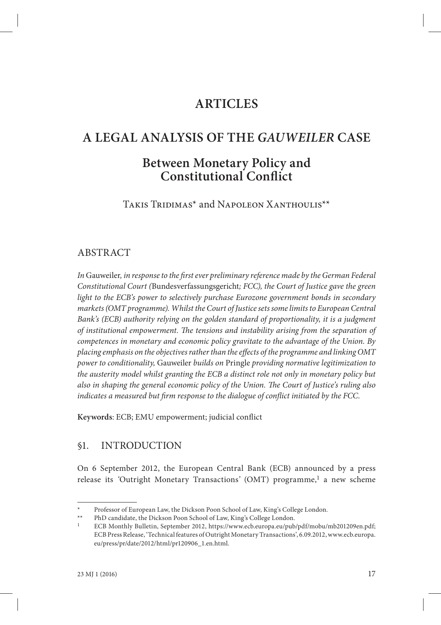# **ARTICLES**

# **A LEGAL ANALYSIS OF THE** *GAUWEILER* **CASE**

# **Between Monetary Policy and Constitutional Confl ict**

Takis Tridimas\* and Napoleon Xanthoulis\*\*

## ABSTRACT

*In* Gauweiler, in response to the first ever preliminary reference made by the German Federal *Constitutional Court (*Bundesverfassungsgericht*; FCC), the Court of Justice gave the green light to the ECB's power to selectively purchase Eurozone government bonds in secondary markets (OMT programme). Whilst the Court of Justice sets some limits to European Central Bank's (ECB) authority relying on the golden standard of proportionality, it is a judgment*  of institutional empowerment. The tensions and instability arising from the separation of *competences in monetary and economic policy gravitate to the advantage of the Union. By placing emphasis on the objectives rather than the eff ects of the programme and linking OMT power to conditionality,* Gauweiler *builds on* Pringle *providing normative legitimization to the austerity model whilst granting the ECB a distinct role not only in monetary policy but*  also in shaping the general economic policy of the Union. The Court of Justice's ruling also indicates a measured but firm response to the dialogue of conflict initiated by the FCC.

Keywords: ECB; EMU empowerment; judicial conflict

## §1. INTRODUCTION

On 6 September 2012, the European Central Bank (ECB) announced by a press release its 'Outright Monetary Transactions' (OMT) programme,<sup>1</sup> a new scheme

Professor of European Law, the Dickson Poon School of Law, King's College London.

PhD candidate, the Dickson Poon School of Law, King's College London.

<sup>1</sup> ECB Monthly Bulletin, September 2012, https://www.ecb.europa.eu/pub/pdf/mobu/mb201209en.pdf; ECB Press Release, 'Technical features of Outright Monetary Transactions', 6.09.2012, www.ecb.europa. eu/press/pr/date/2012/html/pr120906\_1.en.html.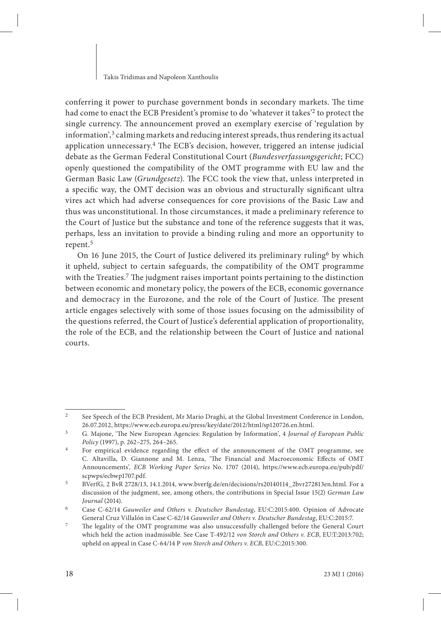conferring it power to purchase government bonds in secondary markets. The time had come to enact the ECB President's promise to do 'whatever it takes'<sup>2</sup> to protect the single currency. The announcement proved an exemplary exercise of 'regulation by information', $3$  calming markets and reducing interest spreads, thus rendering its actual application unnecessary.<sup>4</sup> The ECB's decision, however, triggered an intense judicial debate as the German Federal Constitutional Court (*Bundesverfassungsgericht*; FCC) openly questioned the compatibility of the OMT programme with EU law and the German Basic Law (*Grundgesetz*). The FCC took the view that, unless interpreted in a specific way, the OMT decision was an obvious and structurally significant ultra vires act which had adverse consequences for core provisions of the Basic Law and thus was unconstitutional. In those circumstances, it made a preliminary reference to the Court of Justice but the substance and tone of the reference suggests that it was, perhaps, less an invitation to provide a binding ruling and more an opportunity to repent.5

On 16 June 2015, the Court of Justice delivered its preliminary ruling6 by which it upheld, subject to certain safeguards, the compatibility of the OMT programme with the Treaties.<sup>7</sup> The judgment raises important points pertaining to the distinction between economic and monetary policy, the powers of the ECB, economic governance and democracy in the Eurozone, and the role of the Court of Justice. The present article engages selectively with some of those issues focusing on the admissibility of the questions referred, the Court of Justice's deferential application of proportionality, the role of the ECB, and the relationship between the Court of Justice and national courts.

<sup>&</sup>lt;sup>2</sup> See Speech of the ECB President, Mr Mario Draghi, at the Global Investment Conference in London, 26.07.2012, https://www.ecb.europa.eu/press/key/date/2012/html/sp120726.en.html.

<sup>&</sup>lt;sup>3</sup> G. Majone, 'The New European Agencies: Regulation by Information', 4 *Journal of European Public Policy* (1997), p. 262–275, 264–265.

<sup>&</sup>lt;sup>4</sup> For empirical evidence regarding the effect of the announcement of the OMT programme, see C. Altavilla, D. Giannone and M. Lenza, 'The Financial and Macroeconomic Effects of OMT Announcements'*, ECB Working Paper Series* No. 1707 (2014), https://www.ecb.europa.eu/pub/pdf/ scpwps/ecbwp1707.pdf.

<sup>5</sup> BVerfG, 2 BvR 2728/13, 14.1.2014, www.bverfg.de/en/decisions/rs20140114\_2bvr272813en.html. For a discussion of the judgment, see, among others, the contributions in Special Issue 15(2) *German Law Journal* (2014).

<sup>6</sup> Case C-62/14 *Gauweiler and Others v. Deutscher Bundestag*, EU:C:2015:400. Opinion of Advocate General Cruz Villalón in Case C-62/14 *Gauweiler and Others v. Deutscher Bundestag*, EU:C:2015:7.

<sup>&</sup>lt;sup>7</sup> The legality of the OMT programme was also unsuccessfully challenged before the General Court which held the action inadmissible. See Case T-492/12 *von Storch and Others v. ECB*, EU:T:2013:702; upheld on appeal in Case C-64/14 P *von Storch and Others v. ECB*, EU:C:2015:300.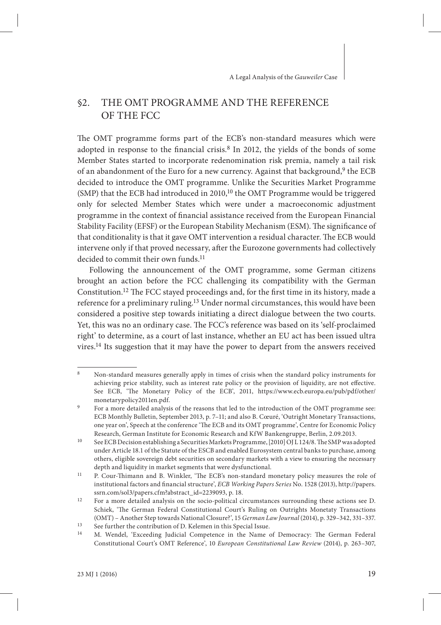## §2. THE OMT PROGRAMME AND THE REFERENCE OF THE FCC

The OMT programme forms part of the ECB's non-standard measures which were adopted in response to the financial crisis.<sup>8</sup> In 2012, the yields of the bonds of some Member States started to incorporate redenomination risk premia, namely a tail risk of an abandonment of the Euro for a new currency. Against that background,<sup>9</sup> the ECB decided to introduce the OMT programme. Unlike the Securities Market Programme (SMP) that the ECB had introduced in  $2010$ ,<sup>10</sup> the OMT Programme would be triggered only for selected Member States which were under a macroeconomic adjustment programme in the context of financial assistance received from the European Financial Stability Facility (EFSF) or the European Stability Mechanism (ESM). The significance of that conditionality is that it gave OMT intervention a residual character. The ECB would intervene only if that proved necessary, after the Eurozone governments had collectively decided to commit their own funds.<sup>11</sup>

Following the announcement of the OMT programme, some German citizens brought an action before the FCC challenging its compatibility with the German Constitution.<sup>12</sup> The FCC stayed proceedings and, for the first time in its history, made a reference for a preliminary ruling.13 Under normal circumstances, this would have been considered a positive step towards initiating a direct dialogue between the two courts. Yet, this was no an ordinary case. The FCC's reference was based on its 'self-proclaimed right' to determine, as a court of last instance, whether an EU act has been issued ultra vires.14 Its suggestion that it may have the power to depart from the answers received

<sup>8</sup> Non-standard measures generally apply in times of crisis when the standard policy instruments for achieving price stability, such as interest rate policy or the provision of liquidity, are not effective. See ECB, 'The Monetary Policy of the ECB', 2011, https://www.ecb.europa.eu/pub/pdf/other/ monetarypolicy2011en.pdf.

For a more detailed analysis of the reasons that led to the introduction of the OMT programme see: ECB Monthly Bulletin, September 2013, p. 7–11; and also B. Cœuré, 'Outright Monetary Transactions, one year on', Speech at the conference 'The ECB and its OMT programme', Centre for Economic Policy Research, German Institute for Economic Research and KfW Bankengruppe, Berlin, 2.09.2013.

<sup>&</sup>lt;sup>10</sup> See ECB Decision establishing a Securities Markets Programme, [2010] OJ L 124/8. The SMP was adopted under Article 18.1 of the Statute of the ESCB and enabled Eurosystem central banks to purchase, among others, eligible sovereign debt securities on secondary markets with a view to ensuring the necessary depth and liquidity in market segments that were dysfunctional.

<sup>&</sup>lt;sup>11</sup> P. Cour-Thimann and B. Winkler, 'The ECB's non-standard monetary policy measures the role of institutional factors and financial structure', *ECB Working Papers Series* No. 1528 (2013), http://papers. ssrn.com/sol3/papers.cfm?abstract\_id=2239093, p. 18.

<sup>&</sup>lt;sup>12</sup> For a more detailed analysis on the socio-political circumstances surrounding these actions see D. Schiek, 'The German Federal Constitutional Court's Ruling on Outrights Monetaty Transactions (OMT) – Another Step towards National Closure?', 15 *German Law Journal* (2014), p. 329–342, 331–337.

<sup>&</sup>lt;sup>13</sup> See further the contribution of D. Kelemen in this Special Issue.<br><sup>14</sup> M. Wandel, 'Exceeding Iudicial Competence in the Name

M. Wendel, 'Exceeding Judicial Competence in the Name of Democracy: The German Federal Constitutional Court's OMT Reference', 10 *European Constitutional Law Review* (2014), p. 263–307,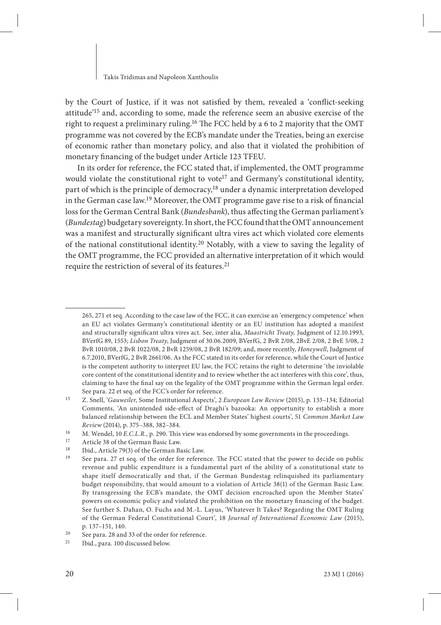by the Court of Justice, if it was not satisfied by them, revealed a 'conflict-seeking attitude'15 and, according to some, made the reference seem an abusive exercise of the right to request a preliminary ruling.<sup>16</sup> The FCC held by a 6 to 2 majority that the OMT programme was not covered by the ECB's mandate under the Treaties, being an exercise of economic rather than monetary policy, and also that it violated the prohibition of monetary financing of the budget under Article 123 TFEU.

In its order for reference, the FCC stated that, if implemented, the OMT programme would violate the constitutional right to vote<sup>17</sup> and Germany's constitutional identity, part of which is the principle of democracy,<sup>18</sup> under a dynamic interpretation developed in the German case law.<sup>19</sup> Moreover, the OMT programme gave rise to a risk of financial loss for the German Central Bank (*Bundesbank*), thus affecting the German parliament's (*Bundestag*) budgetary sovereignty. In short, the FCC found that the OMT announcement was a manifest and structurally significant ultra vires act which violated core elements of the national constitutional identity.20 Notably, with a view to saving the legality of the OMT programme, the FCC provided an alternative interpretation of it which would require the restriction of several of its features.21

<sup>265, 271</sup> et seq. According to the case law of the FCC, it can exercise an 'emergency competence' when an EU act violates Germany's constitutional identity or an EU institution has adopted a manifest and structurally significant ultra vires act. See, inter alia, *Maastricht Treaty*, Judgment of 12.10.1993, BVerfG 89, 1553; *Lisbon Treaty*, Judgment of 30.06.2009, BVerfG, 2 BvR 2/08, 2BvE 2/08, 2 BvE 5/08, 2 BvR 1010/08, 2 BvR 1022/08, 2 BvR 1259/08, 2 BvR 182/09; and, more recently, *Honeywell*, Judgment of 6.7.2010, BVerfG, 2 BvR 2661/06. As the FCC stated in its order for reference, while the Court of Justice is the competent authority to interpret EU law, the FCC retains the right to determine 'the inviolable core content of the constitutional identity and to review whether the act interferes with this core', thus, claiming to have the final say on the legality of the OMT programme within the German legal order. See para. 22 et seq. of the FCC's order for reference.

<sup>15</sup> Z. Snell, '*Gauweiler*, Some Institutional Aspects', 2 *European Law Review* (2015), p. 133–134; Editorial Comments, 'An unintended side-effect of Draghi's bazooka: An opportunity to establish a more balanced relationship between the ECL and Member States' highest courts', 51 *Common Market Law Review* (2014), p. 375–388, 382–384.

<sup>16</sup> M. Wendel, 10 *E.C.L.R.*, p. 290. This view was endorsed by some governments in the proceedings.<br>17 Article 28 of the Corman Besis Law

<sup>&</sup>lt;sup>17</sup> Article 38 of the German Basic Law.<br><sup>18</sup> Ibid. Article 70(3) of the German Basic

<sup>&</sup>lt;sup>18</sup> Ibid., Article 79(3) of the German Basic Law.<br><sup>19</sup> See para <sup>27</sup> at see, of the order for reference

See para. 27 et seq. of the order for reference. The FCC stated that the power to decide on public revenue and public expenditure is a fundamental part of the ability of a constitutional state to shape itself democratically and that, if the German Bundestag relinquished its parliamentary budget responsibility, that would amount to a violation of Article 38(1) of the German Basic Law. By transgressing the ECB's mandate, the OMT decision encroached upon the Member States' powers on economic policy and violated the prohibition on the monetary financing of the budget. See further S. Dahan, O. Fuchs and M.-L. Layus, 'Whatever It Takes? Regarding the OMT Ruling of the German Federal Constitutional Court', 18 *Journal of International Economic Law* (2015), p. 137–151, 140.

<sup>&</sup>lt;sup>20</sup> See para. 28 and 33 of the order for reference.<br><sup>21</sup> Ibid. para. 100 discussed below.

Ibid., para. 100 discussed below.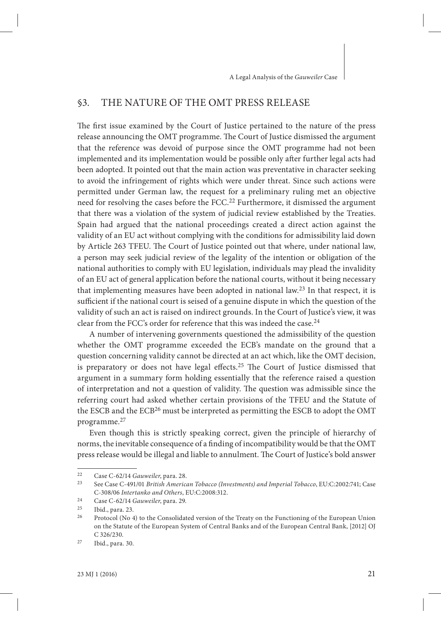## §3. THE NATURE OF THE OMT PRESS RELEASE

The first issue examined by the Court of Justice pertained to the nature of the press release announcing the OMT programme. The Court of Justice dismissed the argument that the reference was devoid of purpose since the OMT programme had not been implemented and its implementation would be possible only after further legal acts had been adopted. It pointed out that the main action was preventative in character seeking to avoid the infringement of rights which were under threat. Since such actions were permitted under German law, the request for a preliminary ruling met an objective need for resolving the cases before the FCC.22 Furthermore, it dismissed the argument that there was a violation of the system of judicial review established by the Treaties. Spain had argued that the national proceedings created a direct action against the validity of an EU act without complying with the conditions for admissibility laid down by Article 263 TFEU. The Court of Justice pointed out that where, under national law, a person may seek judicial review of the legality of the intention or obligation of the national authorities to comply with EU legislation, individuals may plead the invalidity of an EU act of general application before the national courts, without it being necessary that implementing measures have been adopted in national law.23 In that respect, it is sufficient if the national court is seised of a genuine dispute in which the question of the validity of such an act is raised on indirect grounds. In the Court of Justice's view, it was clear from the FCC's order for reference that this was indeed the case.<sup>24</sup>

A number of intervening governments questioned the admissibility of the question whether the OMT programme exceeded the ECB's mandate on the ground that a question concerning validity cannot be directed at an act which, like the OMT decision, is preparatory or does not have legal effects.<sup>25</sup> The Court of Justice dismissed that argument in a summary form holding essentially that the reference raised a question of interpretation and not a question of validity. The question was admissible since the referring court had asked whether certain provisions of the TFEU and the Statute of the ESCB and the ECB26 must be interpreted as permitting the ESCB to adopt the OMT programme.27

Even though this is strictly speaking correct, given the principle of hierarchy of norms, the inevitable consequence of a finding of incompatibility would be that the OMT press release would be illegal and liable to annulment. The Court of Justice's bold answer

<sup>22</sup> Case C-62/14 *Gauweiler*, para. 28.

<sup>23</sup> See Case C-491/01 *British American Tobacco (Investments) and Imperial Tobacco*, EU:C:2002:741; Case C-308/06 *Intertanko and Others*, EU:C:2008:312.

<sup>24</sup> Case C-62/14 *Gauweiler*, para. 29.

 $\frac{25}{26}$  Ibid., para. 23.

<sup>26</sup> Protocol (No 4) to the Consolidated version of the Treaty on the Functioning of the European Union on the Statute of the European System of Central Banks and of the European Central Bank, [2012] OJ C 326/230.

<sup>27</sup> Ibid., para. 30.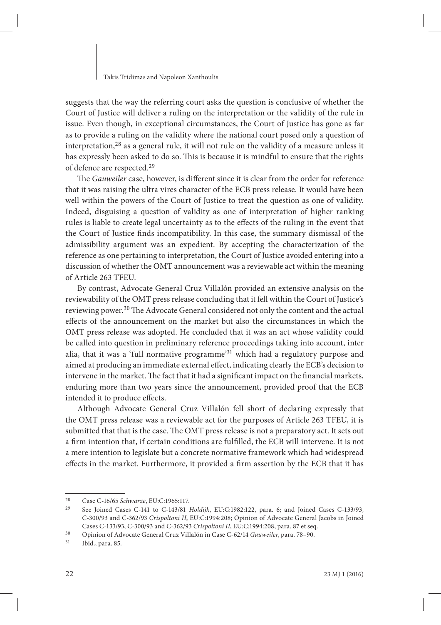suggests that the way the referring court asks the question is conclusive of whether the Court of Justice will deliver a ruling on the interpretation or the validity of the rule in issue. Even though, in exceptional circumstances, the Court of Justice has gone as far as to provide a ruling on the validity where the national court posed only a question of interpretation,28 as a general rule, it will not rule on the validity of a measure unless it has expressly been asked to do so. This is because it is mindful to ensure that the rights of defence are respected.29

The *Gauweiler* case, however, is different since it is clear from the order for reference that it was raising the ultra vires character of the ECB press release. It would have been well within the powers of the Court of Justice to treat the question as one of validity. Indeed, disguising a question of validity as one of interpretation of higher ranking rules is liable to create legal uncertainty as to the effects of the ruling in the event that the Court of Justice finds incompatibility. In this case, the summary dismissal of the admissibility argument was an expedient. By accepting the characterization of the reference as one pertaining to interpretation, the Court of Justice avoided entering into a discussion of whether the OMT announcement was a reviewable act within the meaning of Article 263 TFEU.

By contrast, Advocate General Cruz Villalón provided an extensive analysis on the reviewability of the OMT press release concluding that it fell within the Court of Justice's reviewing power.<sup>30</sup> The Advocate General considered not only the content and the actual effects of the announcement on the market but also the circumstances in which the OMT press release was adopted. He concluded that it was an act whose validity could be called into question in preliminary reference proceedings taking into account, inter alia, that it was a 'full normative programme'31 which had a regulatory purpose and aimed at producing an immediate external effect, indicating clearly the ECB's decision to intervene in the market. The fact that it had a significant impact on the financial markets, enduring more than two years since the announcement, provided proof that the ECB intended it to produce effects.

Although Advocate General Cruz Villalón fell short of declaring expressly that the OMT press release was a reviewable act for the purposes of Article 263 TFEU, it is submitted that that is the case. The OMT press release is not a preparatory act. It sets out a firm intention that, if certain conditions are fulfilled, the ECB will intervene. It is not a mere intention to legislate but a concrete normative framework which had widespread effects in the market. Furthermore, it provided a firm assertion by the ECB that it has

<sup>&</sup>lt;sup>28</sup> Case C-16/65 *Schwarze*, EU:C:1965:117.<br><sup>29</sup> See Joined Cases C-141 to C-143/81

<sup>29</sup> See Joined Cases C-141 to C-143/81 *Holdijk*, EU:C:1982:122, para. 6; and Joined Cases C-133/93, C-300/93 and C-362/93 *Crispoltoni II*, EU:C:1994:208; Opinion of Advocate General Jacobs in Joined Cases C-133/93, C-300/93 and C-362/93 *Crispoltoni II*, EU:C:1994:208, para. 87 et seq.

<sup>30</sup> Opinion of Advocate General Cruz Villalón in Case C-62/14 *Gauweiler*, para. 78–90.

Ibid., para. 85.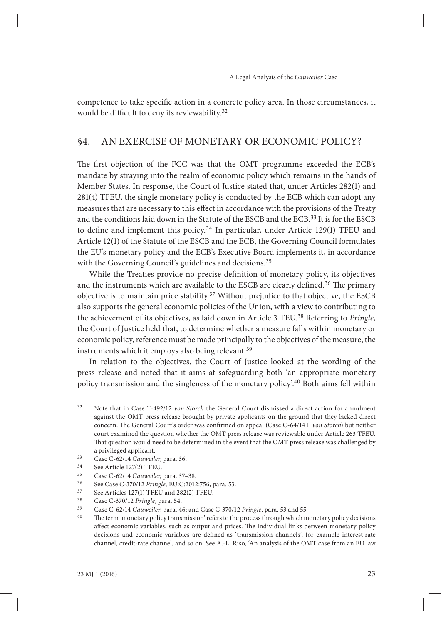competence to take specific action in a concrete policy area. In those circumstances, it would be difficult to deny its reviewability.<sup>32</sup>

### §4. AN EXERCISE OF MONETARY OR ECONOMIC POLICY?

The first objection of the FCC was that the OMT programme exceeded the ECB's mandate by straying into the realm of economic policy which remains in the hands of Member States. In response, the Court of Justice stated that, under Articles 282(1) and 281(4) TFEU, the single monetary policy is conducted by the ECB which can adopt any measures that are necessary to this effect in accordance with the provisions of the Treaty and the conditions laid down in the Statute of the ESCB and the ECB.33 It is for the ESCB to define and implement this policy.<sup>34</sup> In particular, under Article  $129(1)$  TFEU and Article 12(1) of the Statute of the ESCB and the ECB, the Governing Council formulates the EU's monetary policy and the ECB's Executive Board implements it, in accordance with the Governing Council's guidelines and decisions.<sup>35</sup>

While the Treaties provide no precise definition of monetary policy, its objectives and the instruments which are available to the ESCB are clearly defined.<sup>36</sup> The primary objective is to maintain price stability.37 Without prejudice to that objective, the ESCB also supports the general economic policies of the Union, with a view to contributing to the achievement of its objectives, as laid down in Article 3 TEU.38 Referring to *Pringle*, the Court of Justice held that, to determine whether a measure falls within monetary or economic policy, reference must be made principally to the objectives of the measure, the instruments which it employs also being relevant.<sup>39</sup>

In relation to the objectives, the Court of Justice looked at the wording of the press release and noted that it aims at safeguarding both 'an appropriate monetary policy transmission and the singleness of the monetary policy'.40 Both aims fell within

<sup>32</sup> Note that in Case T-492/12 *von Storch* the General Court dismissed a direct action for annulment against the OMT press release brought by private applicants on the ground that they lacked direct concern. The General Court's order was confirmed on appeal (Case C-64/14 P von Storch) but neither court examined the question whether the OMT press release was reviewable under Article 263 TFEU. That question would need to be determined in the event that the OMT press release was challenged by a privileged applicant.

<sup>&</sup>lt;sup>33</sup> Case C-62/14 *Gauweiler*, para. 36.<br><sup>34</sup> See Article 127(2) TEELL

 $34$  See Article 127(2) TFEU.<br> $35$  Case C 62/14 Cannot

<sup>35</sup> Case C-62/14 *Gauweiler*, para. 37–38.

<sup>36</sup> See Case C-370/12 *Pringle,* EU:C:2012:756, para. 53.

<sup>&</sup>lt;sup>37</sup> See Articles 127(1) TFEU and 282(2) TFEU.<br><sup>38</sup> Case C-370/12 Pringle para 54

<sup>38</sup> Case C-370/12 *Pringle*, para. 54.

<sup>39</sup> Case C-62/14 *Gauweiler*, para. 46; and Case C-370/12 *Pringle*, para. 53 and 55.

The term 'monetary policy transmission' refers to the process through which monetary policy decisions affect economic variables, such as output and prices. The individual links between monetary policy decisions and economic variables are defined as 'transmission channels', for example interest-rate channel, credit-rate channel, and so on. See A.-L. Riso, 'An analysis of the OMT case from an EU law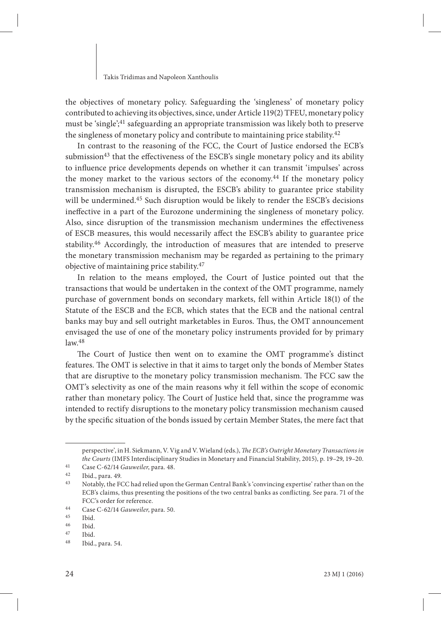the objectives of monetary policy. Safeguarding the 'singleness' of monetary policy contributed to achieving its objectives, since, under Article 119(2) TFEU, monetary policy must be 'single';41 safeguarding an appropriate transmission was likely both to preserve the singleness of monetary policy and contribute to maintaining price stability.42

In contrast to the reasoning of the FCC, the Court of Justice endorsed the ECB's submission<sup>43</sup> that the effectiveness of the ESCB's single monetary policy and its ability to influence price developments depends on whether it can transmit 'impulses' across the money market to the various sectors of the economy.<sup>44</sup> If the monetary policy transmission mechanism is disrupted, the ESCB's ability to guarantee price stability will be undermined.45 Such disruption would be likely to render the ESCB's decisions ineffective in a part of the Eurozone undermining the singleness of monetary policy. Also, since disruption of the transmission mechanism undermines the effectiveness of ESCB measures, this would necessarily affect the ESCB's ability to guarantee price stability.46 Accordingly, the introduction of measures that are intended to preserve the monetary transmission mechanism may be regarded as pertaining to the primary objective of maintaining price stability.47

In relation to the means employed, the Court of Justice pointed out that the transactions that would be undertaken in the context of the OMT programme, namely purchase of government bonds on secondary markets, fell within Article 18(1) of the Statute of the ESCB and the ECB, which states that the ECB and the national central banks may buy and sell outright marketables in Euros. Thus, the OMT announcement envisaged the use of one of the monetary policy instruments provided for by primary  $law<sup>48</sup>$ 

The Court of Justice then went on to examine the OMT programme's distinct features. The OMT is selective in that it aims to target only the bonds of Member States that are disruptive to the monetary policy transmission mechanism. The FCC saw the OMT's selectivity as one of the main reasons why it fell within the scope of economic rather than monetary policy. The Court of Justice held that, since the programme was intended to rectify disruptions to the monetary policy transmission mechanism caused by the specific situation of the bonds issued by certain Member States, the mere fact that

perspective', in H. Siekmann, V. Vig and V. Wieland (eds.), *The ECB's Outright Monetary Transactions in the Courts* (IMFS Interdisciplinary Studies in Monetary and Financial Stability, 2015), p. 19–29, 19–20.

<sup>41</sup> Case C-62/14 *Gauweiler*, para. 48.

 $\frac{42}{43}$  Ibid., para. 49.

<sup>43</sup> Notably, the FCC had relied upon the German Central Bank's 'convincing expertise' rather than on the ECB's claims, thus presenting the positions of the two central banks as conflicting. See para. 71 of the FCC's order for reference.

<sup>44</sup> Case C-62/14 *Gauweiler*, para. 50.

 $\frac{45}{46}$  Ibid.

 $\frac{46}{47}$  Ibid.

 $\frac{47}{48}$  Ibid.

Ibid., para. 54.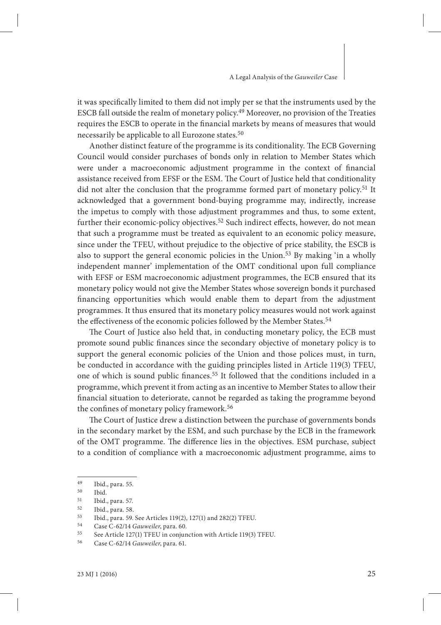it was specifically limited to them did not imply per se that the instruments used by the ESCB fall outside the realm of monetary policy.49 Moreover, no provision of the Treaties requires the ESCB to operate in the financial markets by means of measures that would necessarily be applicable to all Eurozone states.<sup>50</sup>

Another distinct feature of the programme is its conditionality. The ECB Governing Council would consider purchases of bonds only in relation to Member States which were under a macroeconomic adjustment programme in the context of financial assistance received from EFSF or the ESM. The Court of Justice held that conditionality did not alter the conclusion that the programme formed part of monetary policy.<sup>51</sup> It acknowledged that a government bond-buying programme may, indirectly, increase the impetus to comply with those adjustment programmes and thus, to some extent, further their economic-policy objectives.<sup>52</sup> Such indirect effects, however, do not mean that such a programme must be treated as equivalent to an economic policy measure, since under the TFEU, without prejudice to the objective of price stability, the ESCB is also to support the general economic policies in the Union.<sup>53</sup> By making 'in a wholly independent manner' implementation of the OMT conditional upon full compliance with EFSF or ESM macroeconomic adjustment programmes, the ECB ensured that its monetary policy would not give the Member States whose sovereign bonds it purchased financing opportunities which would enable them to depart from the adjustment programmes. It thus ensured that its monetary policy measures would not work against the effectiveness of the economic policies followed by the Member States.<sup>54</sup>

The Court of Justice also held that, in conducting monetary policy, the ECB must promote sound public finances since the secondary objective of monetary policy is to support the general economic policies of the Union and those polices must, in turn, be conducted in accordance with the guiding principles listed in Article 119(3) TFEU, one of which is sound public finances.<sup>55</sup> It followed that the conditions included in a programme, which prevent it from acting as an incentive to Member States to allow their financial situation to deteriorate, cannot be regarded as taking the programme beyond the confines of monetary policy framework.<sup>56</sup>

The Court of Justice drew a distinction between the purchase of governments bonds in the secondary market by the ESM, and such purchase by the ECB in the framework of the OMT programme. The difference lies in the objectives. ESM purchase, subject to a condition of compliance with a macroeconomic adjustment programme, aims to

<sup>49</sup> Ibid., para. 55.

 $50$  Ibid.<br> $51$  Ibid.

<sup>&</sup>lt;sup>51</sup> Ibid., para. 57.<br><sup>52</sup> Ibid. para. 58.

<sup>&</sup>lt;sup>52</sup> Ibid., para. 58.<br><sup>53</sup> Ibid. para. 59.

<sup>53</sup> Ibid., para. 59. See Articles 119(2), 127(1) and 282(2) TFEU.<br> $54$  Case C-62/14 Gauweiler para. 60

<sup>54</sup> Case C-62/14 *Gauweiler*, para. 60.

<sup>55</sup> See Article 127(1) TFEU in conjunction with Article 119(3) TFEU.<br> $\frac{56}{256}$  Case C 62/14 Causuilar para 61

<sup>56</sup> Case C-62/14 *Gauweiler*, para. 61.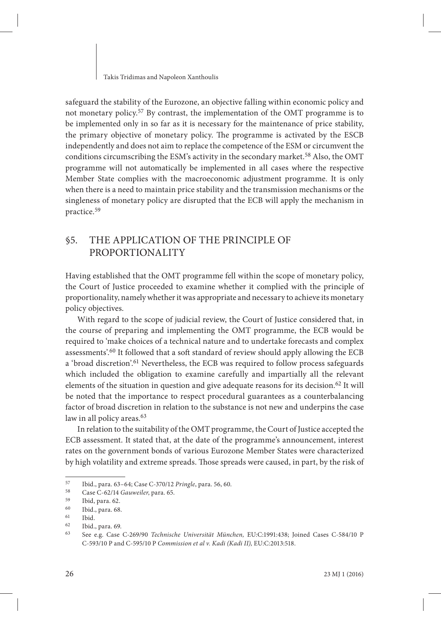safeguard the stability of the Eurozone, an objective falling within economic policy and not monetary policy.57 By contrast, the implementation of the OMT programme is to be implemented only in so far as it is necessary for the maintenance of price stability, the primary objective of monetary policy. The programme is activated by the ESCB independently and does not aim to replace the competence of the ESM or circumvent the conditions circumscribing the ESM's activity in the secondary market.<sup>58</sup> Also, the OMT programme will not automatically be implemented in all cases where the respective Member State complies with the macroeconomic adjustment programme. It is only when there is a need to maintain price stability and the transmission mechanisms or the singleness of monetary policy are disrupted that the ECB will apply the mechanism in practice.59

## §5. THE APPLICATION OF THE PRINCIPLE OF PROPORTIONALITY

Having established that the OMT programme fell within the scope of monetary policy, the Court of Justice proceeded to examine whether it complied with the principle of proportionality, namely whether it was appropriate and necessary to achieve its monetary policy objectives.

With regard to the scope of judicial review, the Court of Justice considered that, in the course of preparing and implementing the OMT programme, the ECB would be required to 'make choices of a technical nature and to undertake forecasts and complex assessments'.60 It followed that a soft standard of review should apply allowing the ECB a 'broad discretion'.61 Nevertheless, the ECB was required to follow process safeguards which included the obligation to examine carefully and impartially all the relevant elements of the situation in question and give adequate reasons for its decision.<sup>62</sup> It will be noted that the importance to respect procedural guarantees as a counterbalancing factor of broad discretion in relation to the substance is not new and underpins the case law in all policy areas.<sup>63</sup>

In relation to the suitability of the OMT programme, the Court of Justice accepted the ECB assessment. It stated that, at the date of the programme's announcement, interest rates on the government bonds of various Eurozone Member States were characterized by high volatility and extreme spreads. Those spreads were caused, in part, by the risk of

<sup>57</sup> Ibid., para. 63–64; Case C-370/12 *Pringle*, para. 56, 60.

<sup>58</sup> Case C-62/14 *Gauweiler*, para. 65.

 $\begin{array}{r} 59 \\ 60 \end{array}$  Ibid, para. 62.

<sup>60</sup> Ibid., para. 68.

 $\begin{array}{cc}\n 61 & \text{Ibid.} \\
62 & \text{Ibid.}\n \end{array}$ 

 $^{62}$  Ibid., para. 69.

<sup>63</sup> See e.g. Case C-269/90 *Technische Universität München,* EU:C:1991:438; Joined Cases C-584/10 P C-593/10 P and C-595/10 P *Commission et al v. Kadi (Kadi II),* EU:C:2013:518.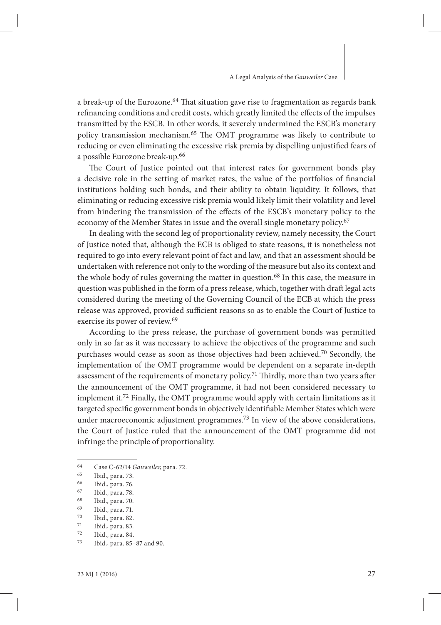a break-up of the Eurozone.<sup>64</sup> That situation gave rise to fragmentation as regards bank refinancing conditions and credit costs, which greatly limited the effects of the impulses transmitted by the ESCB. In other words, it severely undermined the ESCB's monetary policy transmission mechanism.<sup>65</sup> The OMT programme was likely to contribute to reducing or even eliminating the excessive risk premia by dispelling unjustified fears of a possible Eurozone break-up.66

The Court of Justice pointed out that interest rates for government bonds play a decisive role in the setting of market rates, the value of the portfolios of financial institutions holding such bonds, and their ability to obtain liquidity. It follows, that eliminating or reducing excessive risk premia would likely limit their volatility and level from hindering the transmission of the effects of the ESCB's monetary policy to the economy of the Member States in issue and the overall single monetary policy.<sup>67</sup>

In dealing with the second leg of proportionality review, namely necessity, the Court of Justice noted that, although the ECB is obliged to state reasons, it is nonetheless not required to go into every relevant point of fact and law, and that an assessment should be undertaken with reference not only to the wording of the measure but also its context and the whole body of rules governing the matter in question.<sup>68</sup> In this case, the measure in question was published in the form of a press release, which, together with draft legal acts considered during the meeting of the Governing Council of the ECB at which the press release was approved, provided sufficient reasons so as to enable the Court of Justice to exercise its power of review.69

According to the press release, the purchase of government bonds was permitted only in so far as it was necessary to achieve the objectives of the programme and such purchases would cease as soon as those objectives had been achieved.70 Secondly, the implementation of the OMT programme would be dependent on a separate in-depth assessment of the requirements of monetary policy.<sup>71</sup> Thirdly, more than two years after the announcement of the OMT programme, it had not been considered necessary to implement it.72 Finally, the OMT programme would apply with certain limitations as it targeted specific government bonds in objectively identifiable Member States which were under macroeconomic adjustment programmes.73 In view of the above considerations, the Court of Justice ruled that the announcement of the OMT programme did not infringe the principle of proportionality.

<sup>64</sup> Case C-62/14 *Gauweiler*, para. 72.

<sup>&</sup>lt;sup>65</sup> Ibid., para. 73.<br><sup>66</sup> Ibid. para. 76

<sup>&</sup>lt;sup>66</sup> Ibid., para. 76.<br><sup>67</sup> Ibid. para. 78.

<sup>67</sup> Ibid., para. 78.

<sup>&</sup>lt;sup>68</sup> Ibid., para. 70.<br><sup>69</sup> Ibid. para. 71

<sup>&</sup>lt;sup>69</sup> Ibid., para. 71.<br><sup>70</sup> Ibid. para. 82

 $\frac{70}{71}$  Ibid., para. 82.

 $\frac{71}{72}$  Ibid., para. 83.

 $\frac{72}{73}$  Ibid., para. 84.

Ibid., para. 85-87 and 90.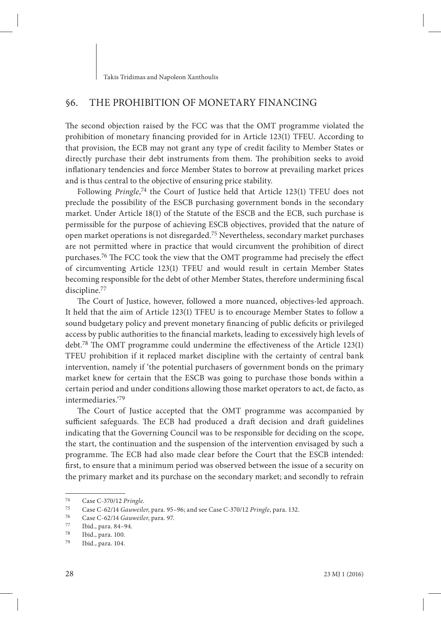## §6. THE PROHIBITION OF MONETARY FINANCING

The second objection raised by the FCC was that the OMT programme violated the prohibition of monetary financing provided for in Article  $123(1)$  TFEU. According to that provision, the ECB may not grant any type of credit facility to Member States or directly purchase their debt instruments from them. The prohibition seeks to avoid inflationary tendencies and force Member States to borrow at prevailing market prices and is thus central to the objective of ensuring price stability.

Following Pringle,<sup>74</sup> the Court of Justice held that Article 123(1) TFEU does not preclude the possibility of the ESCB purchasing government bonds in the secondary market. Under Article 18(1) of the Statute of the ESCB and the ECB, such purchase is permissible for the purpose of achieving ESCB objectives, provided that the nature of open market operations is not disregarded.75 Nevertheless, secondary market purchases are not permitted where in practice that would circumvent the prohibition of direct purchases.<sup>76</sup> The FCC took the view that the OMT programme had precisely the effect of circumventing Article 123(1) TFEU and would result in certain Member States becoming responsible for the debt of other Member States, therefore undermining fiscal discipline.77

The Court of Justice, however, followed a more nuanced, objectives-led approach. It held that the aim of Article 123(1) TFEU is to encourage Member States to follow a sound budgetary policy and prevent monetary financing of public deficits or privileged access by public authorities to the financial markets, leading to excessively high levels of debt.<sup>78</sup> The OMT programme could undermine the effectiveness of the Article 123(1) TFEU prohibition if it replaced market discipline with the certainty of central bank intervention, namely if 'the potential purchasers of government bonds on the primary market knew for certain that the ESCB was going to purchase those bonds within a certain period and under conditions allowing those market operators to act, de facto, as intermediaries.'79

The Court of Justice accepted that the OMT programme was accompanied by sufficient safeguards. The ECB had produced a draft decision and draft guidelines indicating that the Governing Council was to be responsible for deciding on the scope, the start, the continuation and the suspension of the intervention envisaged by such a programme. The ECB had also made clear before the Court that the ESCB intended: first, to ensure that a minimum period was observed between the issue of a security on the primary market and its purchase on the secondary market; and secondly to refrain

<sup>74</sup> Case C-370/12 *Pringle*.

<sup>75</sup> Case C-62/14 *Gauweiler*, para. 95–96; and see Case C-370/12 *Pringle*, para. 132.

<sup>76</sup> Case C-62/14 *Gauweiler*, para. 97.

 $^{77}$  Ibid., para. 84–94.<br> $^{78}$  Ibid. para. 100

<sup>&</sup>lt;sup>78</sup> Ibid., para. 100.<br><sup>79</sup> Ibid. para. 104.

Ibid., para. 104.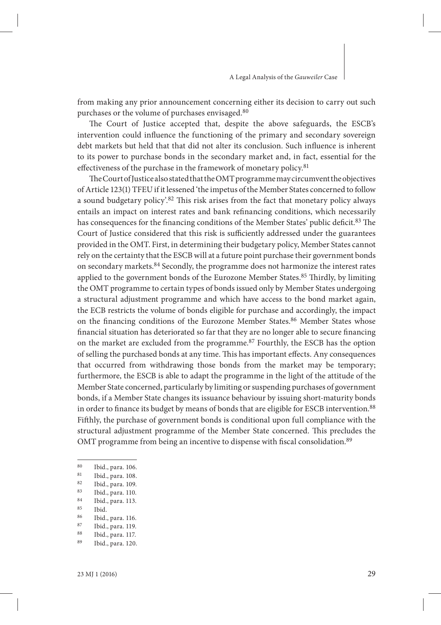from making any prior announcement concerning either its decision to carry out such purchases or the volume of purchases envisaged.80

The Court of Justice accepted that, despite the above safeguards, the ESCB's intervention could influence the functioning of the primary and secondary sovereign debt markets but held that that did not alter its conclusion. Such influence is inherent to its power to purchase bonds in the secondary market and, in fact, essential for the effectiveness of the purchase in the framework of monetary policy.<sup>81</sup>

The Court of Justice also stated that the OMT programme may circumvent the objectives of Article 123(1) TFEU if it lessened 'the impetus of the Member States concerned to follow a sound budgetary policy'.<sup>82</sup> This risk arises from the fact that monetary policy always entails an impact on interest rates and bank refinancing conditions, which necessarily has consequences for the financing conditions of the Member States' public deficit.<sup>83</sup> The Court of Justice considered that this risk is sufficiently addressed under the guarantees provided in the OMT. First, in determining their budgetary policy, Member States cannot rely on the certainty that the ESCB will at a future point purchase their government bonds on secondary markets.84 Secondly, the programme does not harmonize the interest rates applied to the government bonds of the Eurozone Member States.<sup>85</sup> Thirdly, by limiting the OMT programme to certain types of bonds issued only by Member States undergoing a structural adjustment programme and which have access to the bond market again, the ECB restricts the volume of bonds eligible for purchase and accordingly, the impact on the financing conditions of the Eurozone Member States.<sup>86</sup> Member States whose financial situation has deteriorated so far that they are no longer able to secure financing on the market are excluded from the programme.87 Fourthly, the ESCB has the option of selling the purchased bonds at any time. This has important effects. Any consequences that occurred from withdrawing those bonds from the market may be temporary; furthermore, the ESCB is able to adapt the programme in the light of the attitude of the Member State concerned, particularly by limiting or suspending purchases of government bonds, if a Member State changes its issuance behaviour by issuing short-maturity bonds in order to finance its budget by means of bonds that are eligible for ESCB intervention.<sup>88</sup> Fifthly, the purchase of government bonds is conditional upon full compliance with the structural adjustment programme of the Member State concerned. This precludes the OMT programme from being an incentive to dispense with fiscal consolidation.<sup>89</sup>

- $rac{85}{86}$  Ibid.
- <sup>86</sup> Ibid., para. 116.<br><sup>87</sup> Ibid. para. 119

Ibid., para. 117. Ibid., para. 120.

<sup>80</sup> Ibid., para. 106.<br>81 Ibid. para. 108

<sup>&</sup>lt;sup>81</sup> Ibid., para. 108.<br><sup>82</sup> Ibid. nam. 100.

<sup>&</sup>lt;sup>82</sup> Ibid., para. 109.<br><sup>83</sup> Ibid. para. 110

<sup>&</sup>lt;sup>83</sup> Ibid., para. 110.<br><sup>84</sup> Ibid. para. 113

<sup>&</sup>lt;sup>84</sup> Ibid., para. 113.<br><sup>85</sup> Ibid

<sup>&</sup>lt;sup>87</sup> Ibid., para. 119.<br><sup>88</sup> Ibid. para. 117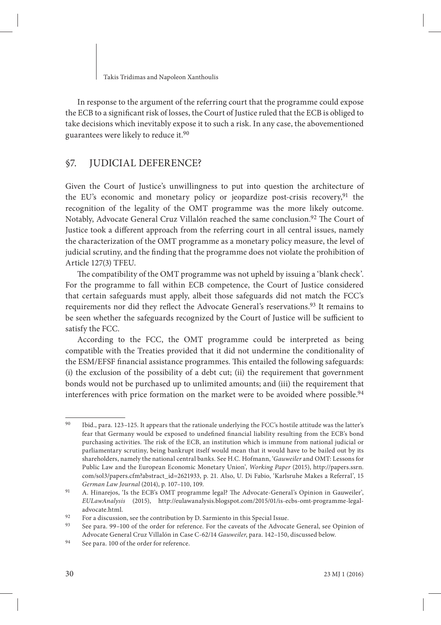In response to the argument of the referring court that the programme could expose the ECB to a significant risk of losses, the Court of Justice ruled that the ECB is obliged to take decisions which inevitably expose it to such a risk. In any case, the abovementioned guarantees were likely to reduce it.90

## §7. JUDICIAL DEFERENCE?

Given the Court of Justice's unwillingness to put into question the architecture of the EU's economic and monetary policy or jeopardize post-crisis recovery,  $91$  the recognition of the legality of the OMT programme was the more likely outcome. Notably, Advocate General Cruz Villalón reached the same conclusion.<sup>92</sup> The Court of Justice took a different approach from the referring court in all central issues, namely the characterization of the OMT programme as a monetary policy measure, the level of judicial scrutiny, and the finding that the programme does not violate the prohibition of Article 127(3) TFEU.

The compatibility of the OMT programme was not upheld by issuing a 'blank check'. For the programme to fall within ECB competence, the Court of Justice considered that certain safeguards must apply, albeit those safeguards did not match the FCC's requirements nor did they reflect the Advocate General's reservations.<sup>93</sup> It remains to be seen whether the safeguards recognized by the Court of Justice will be sufficient to satisfy the FCC.

According to the FCC, the OMT programme could be interpreted as being compatible with the Treaties provided that it did not undermine the conditionality of the ESM/EFSF financial assistance programmes. This entailed the following safeguards: (i) the exclusion of the possibility of a debt cut; (ii) the requirement that government bonds would not be purchased up to unlimited amounts; and (iii) the requirement that interferences with price formation on the market were to be avoided where possible.<sup>94</sup>

<sup>90</sup> Ibid., para. 123–125. It appears that the rationale underlying the FCC's hostile attitude was the latter's fear that Germany would be exposed to undefined financial liability resulting from the ECB's bond purchasing activities. The risk of the ECB, an institution which is immune from national judicial or parliamentary scrutiny, being bankrupt itself would mean that it would have to be bailed out by its shareholders, namely the national central banks. See H.C. Hofmann, '*Gauweiler* and OMT: Lessons for Public Law and the European Economic Monetary Union', *Working Paper* (2015), http://papers.ssrn. com/sol3/papers.cfm?abstract\_id=2621933, p. 21. Also, U. Di Fabio, 'Karlsruhe Makes a Referral', 15 *German Law Journal* (2014), p. 107–110, 109.

<sup>91</sup> A. Hinarejos, 'Is the ECB's OMT programme legal? The Advocate-General's Opinion in Gauweiler', *EULawAnalysis* (2015), http://eulawanalysis.blogspot.com/2015/01/is-ecbs-omt-programme-legaladvocate.html.

<sup>92</sup> For a discussion, see the contribution by D. Sarmiento in this Special Issue.<br>93 See para 99–100 of the order for reference. For the caveate of the Advocate

<sup>93</sup> See para. 99–100 of the order for reference. For the caveats of the Advocate General, see Opinion of Advocate General Cruz Villalón in Case C-62/14 *Gauweiler*, para. 142–150, discussed below.

<sup>94</sup> See para. 100 of the order for reference.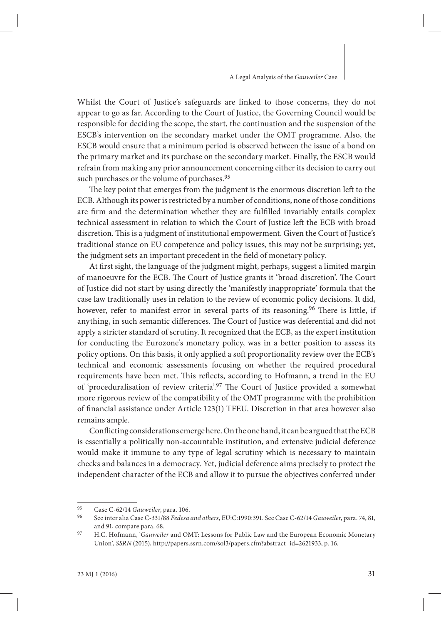Whilst the Court of Justice's safeguards are linked to those concerns, they do not appear to go as far. According to the Court of Justice, the Governing Council would be responsible for deciding the scope, the start, the continuation and the suspension of the ESCB's intervention on the secondary market under the OMT programme. Also, the ESCB would ensure that a minimum period is observed between the issue of a bond on the primary market and its purchase on the secondary market. Finally, the ESCB would refrain from making any prior announcement concerning either its decision to carry out such purchases or the volume of purchases.<sup>95</sup>

The key point that emerges from the judgment is the enormous discretion left to the ECB. Although its power is restricted by a number of conditions, none of those conditions are firm and the determination whether they are fulfilled invariably entails complex technical assessment in relation to which the Court of Justice left the ECB with broad discretion. This is a judgment of institutional empowerment. Given the Court of Justice's traditional stance on EU competence and policy issues, this may not be surprising; yet, the judgment sets an important precedent in the field of monetary policy.

At first sight, the language of the judgment might, perhaps, suggest a limited margin of manoeuvre for the ECB. The Court of Justice grants it 'broad discretion'. The Court of Justice did not start by using directly the 'manifestly inappropriate' formula that the case law traditionally uses in relation to the review of economic policy decisions. It did, however, refer to manifest error in several parts of its reasoning.<sup>96</sup> There is little, if anything, in such semantic differences. The Court of Justice was deferential and did not apply a stricter standard of scrutiny. It recognized that the ECB, as the expert institution for conducting the Eurozone's monetary policy, was in a better position to assess its policy options. On this basis, it only applied a soft proportionality review over the ECB's technical and economic assessments focusing on whether the required procedural requirements have been met. This reflects, according to Hofmann, a trend in the EU of 'proceduralisation of review criteria'.<sup>97</sup> The Court of Justice provided a somewhat more rigorous review of the compatibility of the OMT programme with the prohibition of financial assistance under Article 123(1) TFEU. Discretion in that area however also remains ample.

Conflicting considerations emerge here. On the one hand, it can be argued that the ECB is essentially a politically non-accountable institution, and extensive judicial deference would make it immune to any type of legal scrutiny which is necessary to maintain checks and balances in a democracy. Yet, judicial deference aims precisely to protect the independent character of the ECB and allow it to pursue the objectives conferred under

<sup>95</sup> Case C-62/14 *Gauweiler*, para. 106.

<sup>96</sup> See inter alia Case C-331/88 *Fedesa and others*, EU:C:1990:391. See Case C-62/14 *Gauweiler*, para. 74, 81, and 91, compare para. 68.

<sup>97</sup> H.C. Hofmann, '*Gauweiler* and OMT: Lessons for Public Law and the European Economic Monetary Union', *SSRN* (2015), http://papers.ssrn.com/sol3/papers.cfm?abstract\_id=2621933, p. 16.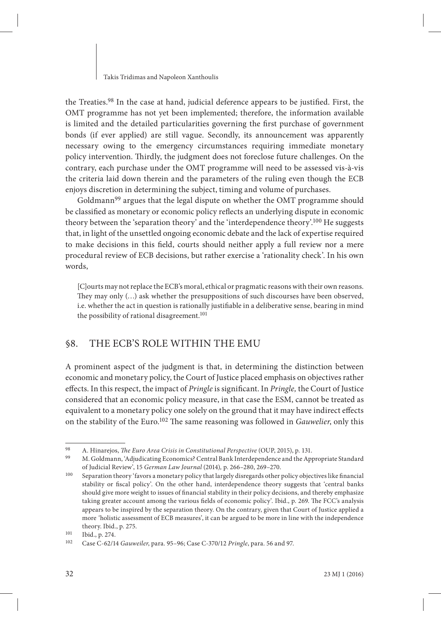the Treaties.<sup>98</sup> In the case at hand, judicial deference appears to be justified. First, the OMT programme has not yet been implemented; therefore, the information available is limited and the detailed particularities governing the first purchase of government bonds (if ever applied) are still vague. Secondly, its announcement was apparently necessary owing to the emergency circumstances requiring immediate monetary policy intervention. Thirdly, the judgment does not foreclose future challenges. On the contrary, each purchase under the OMT programme will need to be assessed vis-à-vis the criteria laid down therein and the parameters of the ruling even though the ECB enjoys discretion in determining the subject, timing and volume of purchases.

Goldmann<sup>99</sup> argues that the legal dispute on whether the OMT programme should be classified as monetary or economic policy reflects an underlying dispute in economic theory between the 'separation theory' and the 'interdependence theory'.100 He suggests that, in light of the unsettled ongoing economic debate and the lack of expertise required to make decisions in this field, courts should neither apply a full review nor a mere procedural review of ECB decisions, but rather exercise a 'rationality check'. In his own words,

[C]ourts may not replace the ECB's moral, ethical or pragmatic reasons with their own reasons. They may only  $(...)$  ask whether the presuppositions of such discourses have been observed, i.e. whether the act in question is rationally justifiable in a deliberative sense, bearing in mind the possibility of rational disagreement.<sup>101</sup>

## §8. THE ECB'S ROLE WITHIN THE EMU

A prominent aspect of the judgment is that, in determining the distinction between economic and monetary policy, the Court of Justice placed emphasis on objectives rather effects. In this respect, the impact of *Pringle* is significant. In *Pringle*, the Court of Justice considered that an economic policy measure, in that case the ESM, cannot be treated as equivalent to a monetary policy one solely on the ground that it may have indirect effects on the stability of the Euro.<sup>102</sup> The same reasoning was followed in *Gauwelier*, only this

<sup>98</sup> A. Hinarejos, *The Euro Area Crisis in Constitutional Perspective* (OUP, 2015), p. 131.<br>99 M. Coldmann (Adjudicating Economics) Control Popk Interdependence and the Ann

<sup>99</sup> M. Goldmann, 'Adjudicating Economics? Central Bank Interdependence and the Appropriate Standard of Judicial Review', 15 *German Law Journal* (2014)*,* p. 266–280, 269–270.

<sup>&</sup>lt;sup>100</sup> Separation theory 'favors a monetary policy that largely disregards other policy objectives like financial stability or fiscal policy'. On the other hand, interdependence theory suggests that 'central banks should give more weight to issues of financial stability in their policy decisions, and thereby emphasize taking greater account among the various fields of economic policy'. Ibid., p. 269. The FCC's analysis appears to be inspired by the separation theory. On the contrary, given that Court of Justice applied a more *'*holistic assessment of ECB measures', it can be argued to be more in line with the independence theory. Ibid., p. 275.

<sup>&</sup>lt;sup>101</sup> Ibid., p. 274.

<sup>102</sup> Case C-62/14 *Gauweiler*, para. 95–96; Case C-370/12 *Pringle*, para. 56 and 97.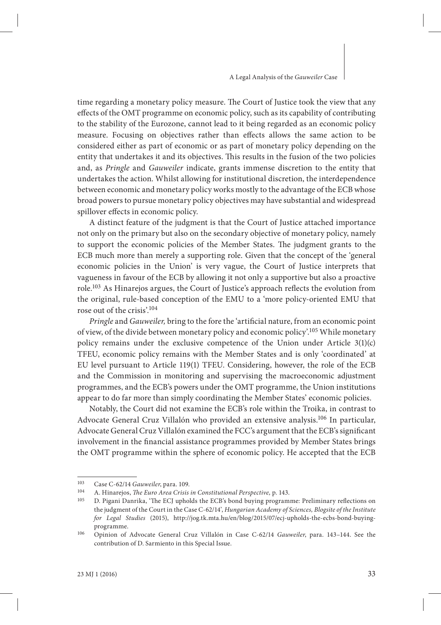time regarding a monetary policy measure. The Court of Justice took the view that any effects of the OMT programme on economic policy, such as its capability of contributing to the stability of the Eurozone, cannot lead to it being regarded as an economic policy measure. Focusing on objectives rather than effects allows the same action to be considered either as part of economic or as part of monetary policy depending on the entity that undertakes it and its objectives. This results in the fusion of the two policies and, as *Pringle* and *Gauweiler* indicate, grants immense discretion to the entity that undertakes the action. Whilst allowing for institutional discretion, the interdependence between economic and monetary policy works mostly to the advantage of the ECB whose broad powers to pursue monetary policy objectives may have substantial and widespread spillover effects in economic policy.

A distinct feature of the judgment is that the Court of Justice attached importance not only on the primary but also on the secondary objective of monetary policy, namely to support the economic policies of the Member States. The judgment grants to the ECB much more than merely a supporting role. Given that the concept of the 'general economic policies in the Union' is very vague, the Court of Justice interprets that vagueness in favour of the ECB by allowing it not only a supportive but also a proactive role.<sup>103</sup> As Hinarejos argues, the Court of Justice's approach reflects the evolution from the original, rule-based conception of the EMU to a 'more policy-oriented EMU that rose out of the crisis'.104

*Pringle* and *Gauweiler*, bring to the fore the 'artificial nature, from an economic point of view, of the divide between monetary policy and economic policy'.105 While monetary policy remains under the exclusive competence of the Union under Article 3(1)(c) TFEU, economic policy remains with the Member States and is only 'coordinated' at EU level pursuant to Article 119(1) TFEU. Considering, however, the role of the ECB and the Commission in monitoring and supervising the macroeconomic adjustment programmes, and the ECB's powers under the OMT programme, the Union institutions appear to do far more than simply coordinating the Member States' economic policies.

Notably, the Court did not examine the ECB's role within the Troika, in contrast to Advocate General Cruz Villalón who provided an extensive analysis.106 In particular, Advocate General Cruz Villalón examined the FCC's argument that the ECB's significant involvement in the financial assistance programmes provided by Member States brings the OMT programme within the sphere of economic policy. He accepted that the ECB

<sup>103</sup> Case C-62/14 *Gauweiler*, para. 109.

<sup>104</sup> A. Hinarejos, *The Euro Area Crisis in Constitutional Perspective*, p. 143.<br>105 D. Pigani Danrika 'The ECI upholds the ECR's bond buying program

D. Pigani Danrika, 'The ECJ upholds the ECB's bond buying programme: Preliminary reflections on the judgment of the Court in the Case C-62/14', *Hungarian Academy of Sciences, Blogsite of the Institute for Legal Studies* (2015), http://jog.tk.mta.hu/en/blog/2015/07/ecj-upholds-the-ecbs-bond-buyingprogramme.

<sup>106</sup> Opinion of Advocate General Cruz Villalón in Case C-62/14 *Gauweiler*, para. 143–144. See the contribution of D. Sarmiento in this Special Issue.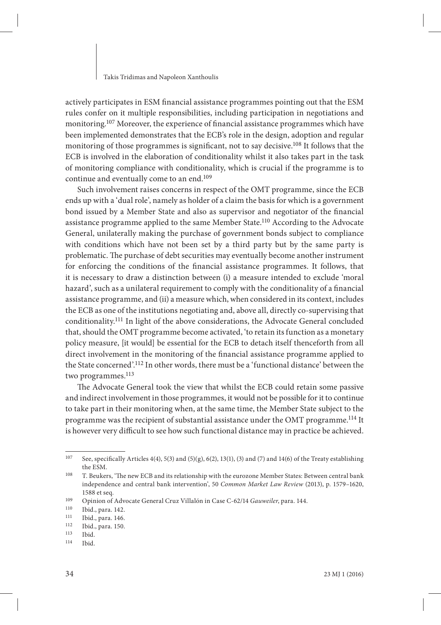actively participates in ESM financial assistance programmes pointing out that the ESM rules confer on it multiple responsibilities, including participation in negotiations and monitoring.<sup>107</sup> Moreover, the experience of financial assistance programmes which have been implemented demonstrates that the ECB's role in the design, adoption and regular monitoring of those programmes is significant, not to say decisive.<sup>108</sup> It follows that the ECB is involved in the elaboration of conditionality whilst it also takes part in the task of monitoring compliance with conditionality, which is crucial if the programme is to continue and eventually come to an end.109

Such involvement raises concerns in respect of the OMT programme, since the ECB ends up with a 'dual role', namely as holder of a claim the basis for which is a government bond issued by a Member State and also as supervisor and negotiator of the financial assistance programme applied to the same Member State.110 According to the Advocate General, unilaterally making the purchase of government bonds subject to compliance with conditions which have not been set by a third party but by the same party is problematic. The purchase of debt securities may eventually become another instrument for enforcing the conditions of the financial assistance programmes. It follows, that it is necessary to draw a distinction between (i) a measure intended to exclude 'moral hazard', such as a unilateral requirement to comply with the conditionality of a financial assistance programme, and (ii) a measure which, when considered in its context, includes the ECB as one of the institutions negotiating and, above all, directly co-supervising that conditionality.111 In light of the above considerations, the Advocate General concluded that, should the OMT programme become activated, 'to retain its function as a monetary policy measure, [it would] be essential for the ECB to detach itself thenceforth from all direct involvement in the monitoring of the financial assistance programme applied to the State concerned'.112 In other words, there must be a 'functional distance' between the two programmes.<sup>113</sup>

The Advocate General took the view that whilst the ECB could retain some passive and indirect involvement in those programmes, it would not be possible for it to continue to take part in their monitoring when, at the same time, the Member State subject to the programme was the recipient of substantial assistance under the OMT programme.114 It is however very difficult to see how such functional distance may in practice be achieved.

<sup>107</sup> See, specifically Articles 4(4), 5(3) and (5)(g), 6(2), 13(1), (3) and (7) and 14(6) of the Treaty establishing the ESM.

<sup>&</sup>lt;sup>108</sup> T. Beukers, 'The new ECB and its relationship with the eurozone Member States: Between central bank independence and central bank intervention', 50 *Common Market Law Review* (2013), p. 1579–1620, 1588 et seq.

<sup>109</sup> Opinion of Advocate General Cruz Villalón in Case C-62/14 *Gauweiler*, para. 144.

<sup>&</sup>lt;sup>110</sup> Ibid., para. 142.<br><sup>111</sup> Ibid. para. 146

 $111$  Ibid., para. 146.<br> $112$  Ibid. para. 150

 $\frac{112}{113}$  Ibid., para. 150.

 $113$  Ibid.<br> $114$  Ibid.

Ibid.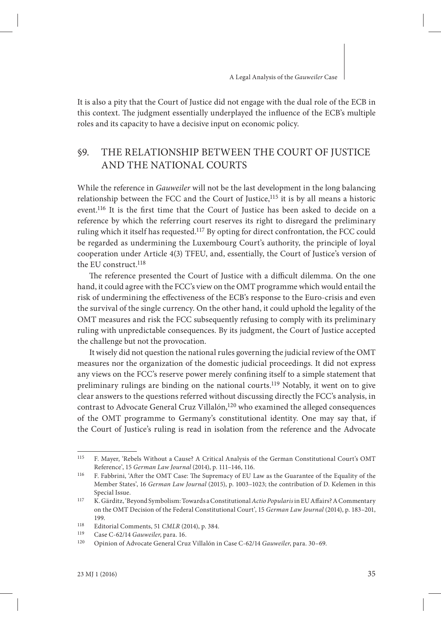It is also a pity that the Court of Justice did not engage with the dual role of the ECB in this context. The judgment essentially underplayed the influence of the ECB's multiple roles and its capacity to have a decisive input on economic policy.

## §9. THE RELATIONSHIP BETWEEN THE COURT OF JUSTICE AND THE NATIONAL COURTS

While the reference in *Gauweiler* will not be the last development in the long balancing relationship between the FCC and the Court of Justice,<sup>115</sup> it is by all means a historic event.<sup>116</sup> It is the first time that the Court of Justice has been asked to decide on a reference by which the referring court reserves its right to disregard the preliminary ruling which it itself has requested.117 By opting for direct confrontation, the FCC could be regarded as undermining the Luxembourg Court's authority, the principle of loyal cooperation under Article 4(3) TFEU, and, essentially, the Court of Justice's version of the EU construct.118

The reference presented the Court of Justice with a difficult dilemma. On the one hand, it could agree with the FCC's view on the OMT programme which would entail the risk of undermining the effectiveness of the ECB's response to the Euro-crisis and even the survival of the single currency. On the other hand, it could uphold the legality of the OMT measures and risk the FCC subsequently refusing to comply with its preliminary ruling with unpredictable consequences. By its judgment, the Court of Justice accepted the challenge but not the provocation.

It wisely did not question the national rules governing the judicial review of the OMT measures nor the organization of the domestic judicial proceedings. It did not express any views on the FCC's reserve power merely confining itself to a simple statement that preliminary rulings are binding on the national courts.<sup>119</sup> Notably, it went on to give clear answers to the questions referred without discussing directly the FCC's analysis, in contrast to Advocate General Cruz Villalón,<sup>120</sup> who examined the alleged consequences of the OMT programme to Germany's constitutional identity. One may say that, if the Court of Justice's ruling is read in isolation from the reference and the Advocate

<sup>115</sup> F. Mayer, 'Rebels Without a Cause? A Critical Analysis of the German Constitutional Court's OMT Reference', 15 *German Law Journal* (2014), p. 111–146, 116.

<sup>&</sup>lt;sup>116</sup> F. Fabbrini, 'After the OMT Case: The Supremacy of EU Law as the Guarantee of the Equality of the Member States', 16 *German Law Journal* (2015), p. 1003–1023; the contribution of D. Kelemen in this Special Issue.

<sup>&</sup>lt;sup>117</sup> K. Gärditz, 'Beyond Symbolism: Towards a Constitutional *Actio Popularis* in EU Affairs? A Commentary on the OMT Decision of the Federal Constitutional Court', 15 *German Law Journal* (2014), p. 183–201, 199.

<sup>118</sup> Editorial Comments, 51 *CMLR* (2014), p. 384.

<sup>119</sup> Case C-62/14 *Gauweiler*, para. 16.

<sup>120</sup> Opinion of Advocate General Cruz Villalón in Case C-62/14 *Gauweiler*, para. 30–69.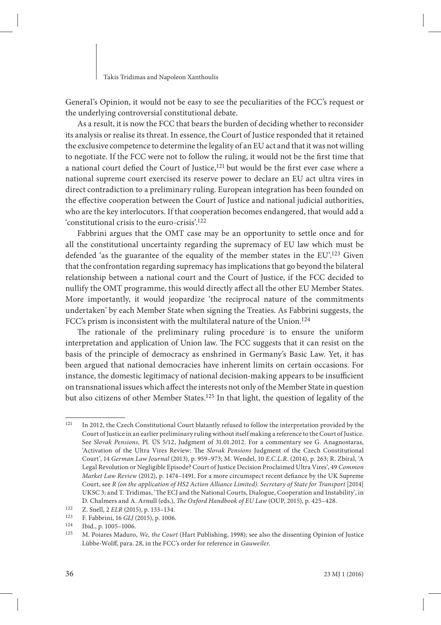General's Opinion, it would not be easy to see the peculiarities of the FCC's request or the underlying controversial constitutional debate.

As a result, it is now the FCC that bears the burden of deciding whether to reconsider its analysis or realise its threat. In essence, the Court of Justice responded that it retained the exclusive competence to determine the legality of an EU act and that it was not willing to negotiate. If the FCC were not to follow the ruling, it would not be the first time that a national court defied the Court of Justice, $121$  but would be the first ever case where a national supreme court exercised its reserve power to declare an EU act ultra vires in direct contradiction to a preliminary ruling. European integration has been founded on the effective cooperation between the Court of Justice and national judicial authorities, who are the key interlocutors. If that cooperation becomes endangered, that would add a 'constitutional crisis to the euro-crisis'.122

Fabbrini argues that the OMT case may be an opportunity to settle once and for all the constitutional uncertainty regarding the supremacy of EU law which must be defended 'as the guarantee of the equality of the member states in the EU'.123 Given that the confrontation regarding supremacy has implications that go beyond the bilateral relationship between a national court and the Court of Justice, if the FCC decided to nullify the OMT programme, this would directly affect all the other EU Member States. More importantly, it would jeopardize 'the reciprocal nature of the commitments undertaken' by each Member State when signing the Treaties. As Fabbrini suggests, the FCC's prism is inconsistent with the multilateral nature of the Union.<sup>124</sup>

The rationale of the preliminary ruling procedure is to ensure the uniform interpretation and application of Union law. The FCC suggests that it can resist on the basis of the principle of democracy as enshrined in Germany's Basic Law. Yet, it has been argued that national democracies have inherent limits on certain occasions. For instance, the domestic legitimacy of national decision-making appears to be insufficient on transnational issues which affect the interests not only of the Member State in question but also citizens of other Member States.125 In that light, the question of legality of the

<sup>121</sup> In 2012, the Czech Constitutional Court blatantly refused to follow the interpretation provided by the Court of Justice in an earlier preliminary ruling without itself making a reference to the Court of Justice. See *Slovak Pensions,* Pl. ÚS 5/12, Judgment of 31.01.2012. For a commentary see G. Anagnostaras, 'Activation of the Ultra Vires Review: The *Slovak Pensions* Judgment of the Czech Constitutional Court', 14 *German Law Journal* (2013), p. 959–973; M. Wendel, 10 *E.C.L.R.* (2014), p. 263; R. Zbíral, 'A Legal Revolution or Negligible Episode? Court of Justice Decision Proclaimed Ultra Vires', 49 *Common Market Law Review* (2012), p. 1474-1491. For a more circumspect recent defiance by the UK Supreme Court, see *R (on the application of HS2 Action Alliance Limited). Secretary of State for Transport* [2014] UKSC 3; and T. Tridimas, 'The ECJ and the National Courts, Dialogue, Cooperation and Instability', in D. Chalmers and A. Arnull (eds.), *The Oxford Handbook of EU Law* (OUP, 2015), p. 425-428.

<sup>122</sup> Z. Snell, 2 *ELR* (2015), p. 133–134.<br>123 E. Fabbrini, 16 *GLI* (2015), p. 1006

<sup>123</sup> F. Fabbrini, 16 *GLJ* (2015), p. 1006.

 $\frac{124}{125}$  Ibid., p. 1005–1006.

<sup>125</sup> M. Poiares Maduro, *We, the Court* (Hart Publishing, 1998); see also the dissenting Opinion of Justice Lübbe-Wolff, para. 28, in the FCC's order for reference in *Gauweiler*.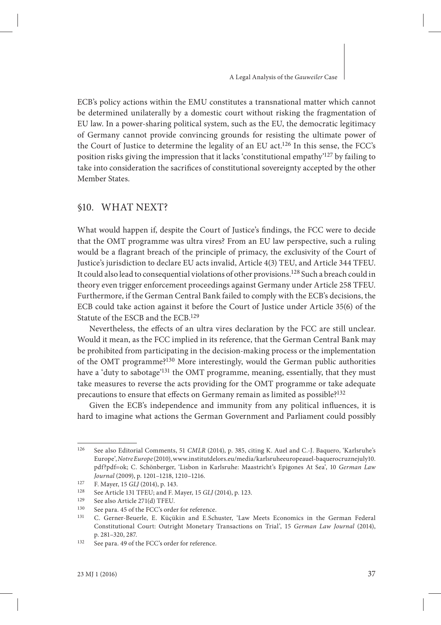ECB's policy actions within the EMU constitutes a transnational matter which cannot be determined unilaterally by a domestic court without risking the fragmentation of EU law. In a power-sharing political system, such as the EU, the democratic legitimacy of Germany cannot provide convincing grounds for resisting the ultimate power of the Court of Justice to determine the legality of an EU act.126 In this sense, the FCC's position risks giving the impression that it lacks 'constitutional empathy'127 by failing to take into consideration the sacrifices of constitutional sovereignty accepted by the other Member States.

### §10. WHAT NEXT?

What would happen if, despite the Court of Justice's findings, the FCC were to decide that the OMT programme was ultra vires? From an EU law perspective, such a ruling would be a flagrant breach of the principle of primacy, the exclusivity of the Court of Justice's jurisdiction to declare EU acts invalid, Article 4(3) TEU, and Article 344 TFEU. It could also lead to consequential violations of other provisions.128 Such a breach could in theory even trigger enforcement proceedings against Germany under Article 258 TFEU. Furthermore, if the German Central Bank failed to comply with the ECB's decisions, the ECB could take action against it before the Court of Justice under Article 35(6) of the Statute of the ESCB and the ECB.129

Nevertheless, the effects of an ultra vires declaration by the FCC are still unclear. Would it mean, as the FCC implied in its reference, that the German Central Bank may be prohibited from participating in the decision-making process or the implementation of the OMT programme?130 More interestingly, would the German public authorities have a 'duty to sabotage'131 the OMT programme, meaning, essentially, that they must take measures to reverse the acts providing for the OMT programme or take adequate precautions to ensure that effects on Germany remain as limited as possible?<sup>132</sup>

Given the ECB's independence and immunity from any political influences, it is hard to imagine what actions the German Government and Parliament could possibly

<sup>126</sup> See also Editorial Comments, 51 *CMLR* (2014), p. 385, citing K. Auel and C.-J. Baquero, 'Karlsruhe's Europe', *Notre Europe* (2010), www.institutdelors.eu/media/karlsruheeuropeauel-baquerocruznejuly10. pdf?pdf=ok; C. Schönberger, 'Lisbon in Karlsruhe: Maastricht's Epigones At Sea', 10 *German Law Journal* (2009), p. 1201–1218, 1210–1216.

<sup>127</sup> F. Mayer, 15 *GLJ* (2014), p. 143.<br>128 See Article 131 TEELL and E.N.

<sup>128</sup> See Article 131 TFEU; and F. Mayer, 15 *GLJ* (2014), p. 123.<br>129 See also Article 271(d) TEEU

<sup>&</sup>lt;sup>129</sup> See also Article 271(d) TFEU.<br><sup>130</sup> See para 45 of the ECC's order

<sup>&</sup>lt;sup>130</sup> See para. 45 of the FCC's order for reference.<br><sup>131</sup> C. Gerner Beyerle, E. Küçükin, and E. Sch

<sup>131</sup> C. Gerner-Beuerle, E. Küçükin and E.Schuster, 'Law Meets Economics in the German Federal Constitutional Court: Outright Monetary Transactions on Trial', 15 *German Law Journal* (2014), p. 281–320, 287.

<sup>132</sup> See para. 49 of the FCC's order for reference.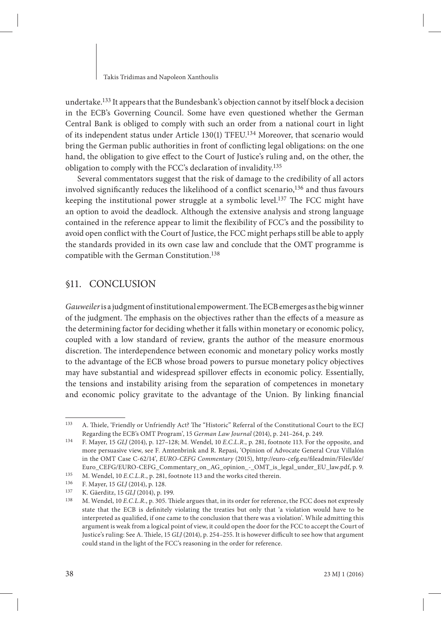undertake.133 It appears that the Bundesbank's objection cannot by itself block a decision in the ECB's Governing Council. Some have even questioned whether the German Central Bank is obliged to comply with such an order from a national court in light of its independent status under Article 130(1) TFEU.134 Moreover, that scenario would bring the German public authorities in front of conflicting legal obligations: on the one hand, the obligation to give effect to the Court of Justice's ruling and, on the other, the obligation to comply with the FCC's declaration of invalidity.135

Several commentators suggest that the risk of damage to the credibility of all actors involved significantly reduces the likelihood of a conflict scenario,<sup>136</sup> and thus favours keeping the institutional power struggle at a symbolic level.<sup>137</sup> The FCC might have an option to avoid the deadlock. Although the extensive analysis and strong language contained in the reference appear to limit the flexibility of FCC's and the possibility to avoid open conflict with the Court of Justice, the FCC might perhaps still be able to apply the standards provided in its own case law and conclude that the OMT programme is compatible with the German Constitution.138

## §11. CONCLUSION

*Gauweiler* is a judgment of institutional empowerment. The ECB emerges as the big winner of the judgment. The emphasis on the objectives rather than the effects of a measure as the determining factor for deciding whether it falls within monetary or economic policy, coupled with a low standard of review, grants the author of the measure enormous discretion. The interdependence between economic and monetary policy works mostly to the advantage of the ECB whose broad powers to pursue monetary policy objectives may have substantial and widespread spillover effects in economic policy. Essentially, the tensions and instability arising from the separation of competences in monetary and economic policy gravitate to the advantage of the Union. By linking financial

<sup>133</sup> A. Thiele, 'Friendly or Unfriendly Act? The "Historic" Referral of the Constitutional Court to the ECJ Regarding the ECB's OMT Program', 15 *German Law Journal* (2014), p. 241–264, p. 249.

<sup>134</sup> F. Mayer, 15 *GLJ* (2014), p. 127–128; M. Wendel, 10 *E.C.L.R.*, p. 281, footnote 113. For the opposite, and more persuasive view, see F. Amtenbrink and R. Repasi, 'Opinion of Advocate General Cruz Villalón in the OMT Case C-62/14', *EURO-CEFG Commentary* (2015), http://euro-cefg.eu/fi leadmin/Files/lde/ Euro\_CEFG/EURO-CEFG\_Commentary\_on\_AG\_opinion\_-\_OMT\_is\_legal\_under\_EU\_law.pdf, p. 9.

<sup>&</sup>lt;sup>135</sup> M. Wendel, 10 *E.C.L.R.*, p. 281, footnote 113 and the works cited therein.<br><sup>136</sup> E. Mayor, 15 *GU* (2014), p. 128

<sup>136</sup> F. Mayer, 15 *GLJ* (2014), p. 128.<br>137 K. Gäerditz, 15 *GLJ* (2014), p. 19

<sup>137</sup> K. Gäerditz, 15 *GLJ* (2014), p. 199.

M. Wendel, 10 *E.C.L.R.*, p. 305. Thiele argues that, in its order for reference, the FCC does not expressly state that the ECB is definitely violating the treaties but only that 'a violation would have to be interpreted as qualified, if one came to the conclusion that there was a violation'. While admitting this argument is weak from a logical point of view, it could open the door for the FCC to accept the Court of Justice's ruling: See A. Thiele, 15 *GLJ* (2014), p. 254-255. It is however difficult to see how that argument could stand in the light of the FCC's reasoning in the order for reference.